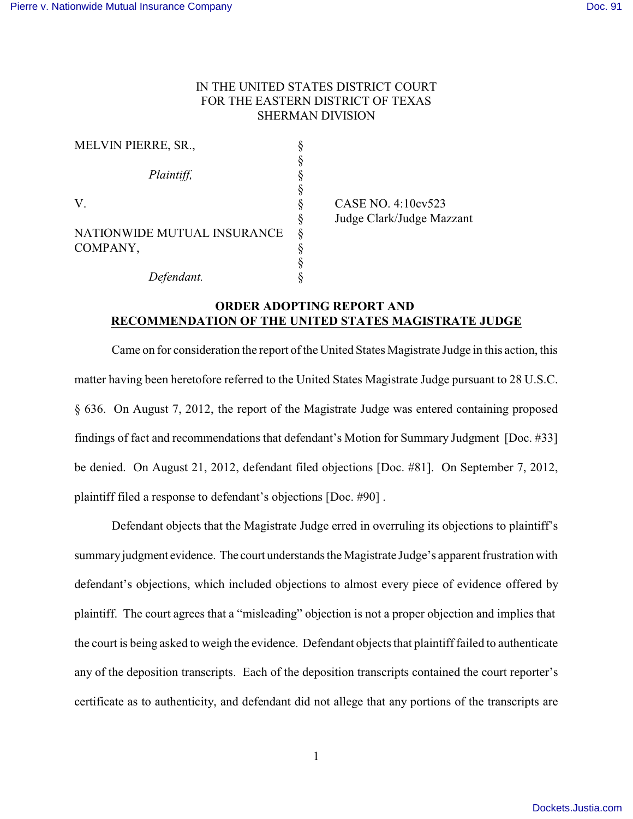## IN THE UNITED STATES DISTRICT COURT FOR THE EASTERN DISTRICT OF TEXAS SHERMAN DIVISION

| <b>MELVIN PIERRE, SR.,</b>  |   |
|-----------------------------|---|
|                             |   |
| Plaintiff,                  |   |
|                             |   |
| V.                          |   |
|                             | § |
| NATIONWIDE MUTUAL INSURANCE | Ş |
| COMPANY,                    | § |
|                             |   |
| Defendant.                  |   |

CASE NO. 4:10cv523 § Judge Clark/Judge Mazzant

## **ORDER ADOPTING REPORT AND RECOMMENDATION OF THE UNITED STATES MAGISTRATE JUDGE**

Came on for consideration the report of the United States Magistrate Judge in this action, this matter having been heretofore referred to the United States Magistrate Judge pursuant to 28 U.S.C. § 636. On August 7, 2012, the report of the Magistrate Judge was entered containing proposed findings of fact and recommendations that defendant's Motion for Summary Judgment [Doc. #33] be denied. On August 21, 2012, defendant filed objections [Doc. #81]. On September 7, 2012, plaintiff filed a response to defendant's objections [Doc. #90] .

Defendant objects that the Magistrate Judge erred in overruling its objections to plaintiff's summaryjudgment evidence. The court understands the Magistrate Judge's apparent frustration with defendant's objections, which included objections to almost every piece of evidence offered by plaintiff. The court agrees that a "misleading" objection is not a proper objection and implies that the court is being asked to weigh the evidence. Defendant objects that plaintiff failed to authenticate any of the deposition transcripts. Each of the deposition transcripts contained the court reporter's certificate as to authenticity, and defendant did not allege that any portions of the transcripts are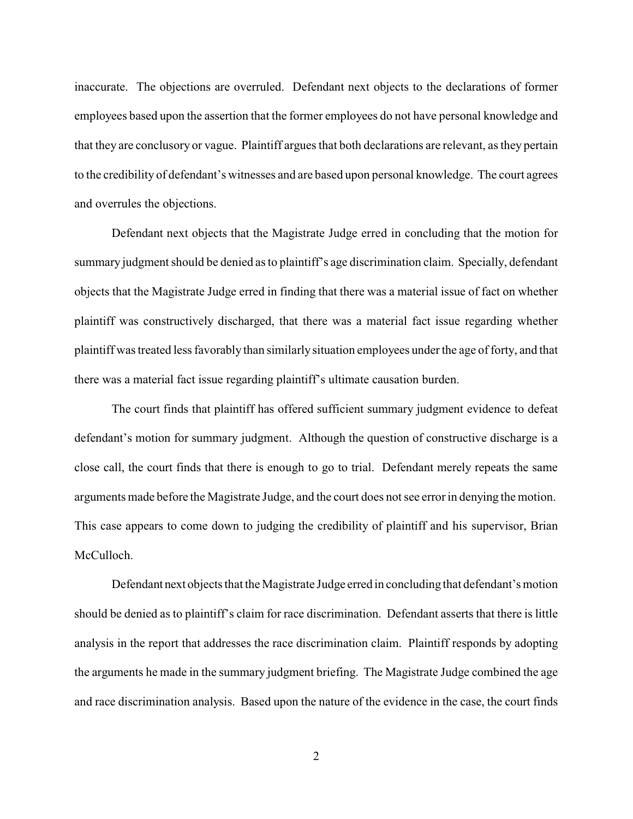inaccurate. The objections are overruled. Defendant next objects to the declarations of former employees based upon the assertion that the former employees do not have personal knowledge and that they are conclusory or vague. Plaintiff argues that both declarations are relevant, as they pertain to the credibility of defendant's witnesses and are based upon personal knowledge. The court agrees and overrules the objections.

Defendant next objects that the Magistrate Judge erred in concluding that the motion for summary judgment should be denied as to plaintiff's age discrimination claim. Specially, defendant objects that the Magistrate Judge erred in finding that there was a material issue of fact on whether plaintiff was constructively discharged, that there was a material fact issue regarding whether plaintiff was treated less favorably than similarly situation employees under the age of forty, and that there was a material fact issue regarding plaintiff's ultimate causation burden.

The court finds that plaintiff has offered sufficient summary judgment evidence to defeat defendant's motion for summary judgment. Although the question of constructive discharge is a close call, the court finds that there is enough to go to trial. Defendant merely repeats the same arguments made before the Magistrate Judge, and the court does not see error in denying the motion. This case appears to come down to judging the credibility of plaintiff and his supervisor, Brian McCulloch.

Defendant next objects that the Magistrate Judge erred in concluding that defendant's motion should be denied as to plaintiff's claim for race discrimination. Defendant asserts that there is little analysis in the report that addresses the race discrimination claim. Plaintiff responds by adopting the arguments he made in the summary judgment briefing. The Magistrate Judge combined the age and race discrimination analysis. Based upon the nature of the evidence in the case, the court finds